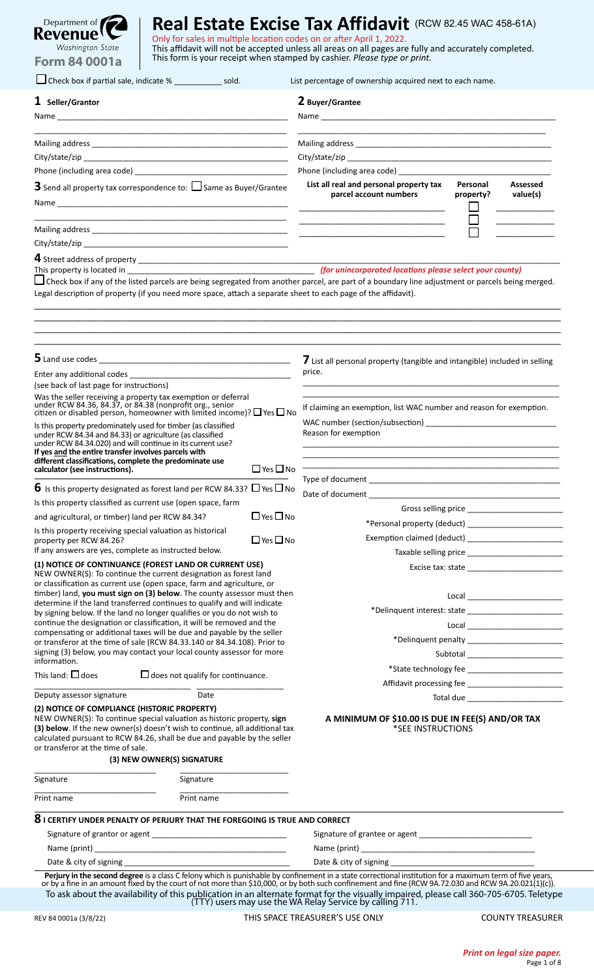| Department of <b>The Address</b> |
|----------------------------------|
| Revenue ! L                      |
| Washington State                 |
| <b>Form 84 0001a</b>             |

| Check box if partial sale, indicate % _______________ sold.                                                                                                                                                                                                                                                                                                                                                                                                                                                                                                                                                                                                            |                      | List percentage of ownership acquired next to each name.                                                                                                                                                                      |                                                         |  |
|------------------------------------------------------------------------------------------------------------------------------------------------------------------------------------------------------------------------------------------------------------------------------------------------------------------------------------------------------------------------------------------------------------------------------------------------------------------------------------------------------------------------------------------------------------------------------------------------------------------------------------------------------------------------|----------------------|-------------------------------------------------------------------------------------------------------------------------------------------------------------------------------------------------------------------------------|---------------------------------------------------------|--|
| $1$ Seller/Grantor                                                                                                                                                                                                                                                                                                                                                                                                                                                                                                                                                                                                                                                     |                      | 2 Buyer/Grantee                                                                                                                                                                                                               |                                                         |  |
|                                                                                                                                                                                                                                                                                                                                                                                                                                                                                                                                                                                                                                                                        |                      |                                                                                                                                                                                                                               |                                                         |  |
|                                                                                                                                                                                                                                                                                                                                                                                                                                                                                                                                                                                                                                                                        |                      |                                                                                                                                                                                                                               |                                                         |  |
|                                                                                                                                                                                                                                                                                                                                                                                                                                                                                                                                                                                                                                                                        |                      |                                                                                                                                                                                                                               |                                                         |  |
|                                                                                                                                                                                                                                                                                                                                                                                                                                                                                                                                                                                                                                                                        |                      | Phone (including area code)                                                                                                                                                                                                   |                                                         |  |
|                                                                                                                                                                                                                                                                                                                                                                                                                                                                                                                                                                                                                                                                        |                      | List all real and personal property tax                                                                                                                                                                                       | Personal<br>Assessed                                    |  |
| <b>3</b> Send all property tax correspondence to: $\Box$ Same as Buyer/Grantee                                                                                                                                                                                                                                                                                                                                                                                                                                                                                                                                                                                         |                      | parcel account numbers<br><u> 1989 - Johann Stein, mars an deutscher Stein und der Stein und der Stein und der Stein und der Stein und der</u>                                                                                | value(s)<br>property?                                   |  |
|                                                                                                                                                                                                                                                                                                                                                                                                                                                                                                                                                                                                                                                                        |                      | <u> 1989 - Johann Harry Harry Harry Harry Harry Harry Harry Harry Harry Harry Harry Harry Harry Harry Harry Harry</u>                                                                                                         |                                                         |  |
|                                                                                                                                                                                                                                                                                                                                                                                                                                                                                                                                                                                                                                                                        |                      |                                                                                                                                                                                                                               |                                                         |  |
|                                                                                                                                                                                                                                                                                                                                                                                                                                                                                                                                                                                                                                                                        |                      |                                                                                                                                                                                                                               |                                                         |  |
| $\Box$ Check box if any of the listed parcels are being segregated from another parcel, are part of a boundary line adjustment or parcels being merged.<br>Legal description of property (if you need more space, attach a separate sheet to each page of the affidavit).                                                                                                                                                                                                                                                                                                                                                                                              |                      |                                                                                                                                                                                                                               |                                                         |  |
| <u> 1989 - Johann Barbara, margaret eta idazlea (h. 1989).</u>                                                                                                                                                                                                                                                                                                                                                                                                                                                                                                                                                                                                         |                      | 7 List all personal property (tangible and intangible) included in selling                                                                                                                                                    |                                                         |  |
| (see back of last page for instructions)                                                                                                                                                                                                                                                                                                                                                                                                                                                                                                                                                                                                                               |                      | price.                                                                                                                                                                                                                        |                                                         |  |
| Was the seller receiving a property tax exemption or deferral<br>under RCW 84.36, 84.37, or 84.38 (nonprofit org., senior<br>citizen or disabled person, homeowner with limited income)? $\Box$ Yes $\Box$ No                                                                                                                                                                                                                                                                                                                                                                                                                                                          |                      | If claiming an exemption, list WAC number and reason for exemption.                                                                                                                                                           |                                                         |  |
| Is this property predominately used for timber (as classified<br>under RCW 84.34 and 84.33) or agriculture (as classified<br>under RCW 84.34.020) and will continue in its current use?<br>If yes and the entire transfer involves parcels with<br>different classifications, complete the predominate use                                                                                                                                                                                                                                                                                                                                                             |                      | Reason for exemption                                                                                                                                                                                                          |                                                         |  |
| calculator (see instructions).                                                                                                                                                                                                                                                                                                                                                                                                                                                                                                                                                                                                                                         | $\Box$ Yes $\Box$ No |                                                                                                                                                                                                                               |                                                         |  |
| $6\,$ Is this property designated as forest land per RCW 84.33? $\Box$ Yes $\Box$ No                                                                                                                                                                                                                                                                                                                                                                                                                                                                                                                                                                                   |                      |                                                                                                                                                                                                                               |                                                         |  |
| Is this property classified as current use (open space, farm                                                                                                                                                                                                                                                                                                                                                                                                                                                                                                                                                                                                           |                      |                                                                                                                                                                                                                               |                                                         |  |
| and agricultural, or timber) land per RCW 84.34?                                                                                                                                                                                                                                                                                                                                                                                                                                                                                                                                                                                                                       | $\Box$ Yes $\Box$ No |                                                                                                                                                                                                                               |                                                         |  |
| Is this property receiving special valuation as historical                                                                                                                                                                                                                                                                                                                                                                                                                                                                                                                                                                                                             | $\Box$ Yes $\Box$ No |                                                                                                                                                                                                                               |                                                         |  |
| property per RCW 84.26?<br>If any answers are yes, complete as instructed below.                                                                                                                                                                                                                                                                                                                                                                                                                                                                                                                                                                                       |                      |                                                                                                                                                                                                                               |                                                         |  |
| (1) NOTICE OF CONTINUANCE (FOREST LAND OR CURRENT USE)<br>NEW OWNER(S): To continue the current designation as forest land<br>or classification as current use (open space, farm and agriculture, or<br>timber) land, you must sign on (3) below. The county assessor must then<br>determine if the land transferred continues to qualify and will indicate<br>by signing below. If the land no longer qualifies or you do not wish to<br>continue the designation or classification, it will be removed and the<br>compensating or additional taxes will be due and payable by the seller<br>or transferor at the time of sale (RCW 84.33.140 or 84.34.108). Prior to |                      |                                                                                                                                                                                                                               | *Delinquent interest: state ___________________________ |  |
| signing (3) below, you may contact your local county assessor for more                                                                                                                                                                                                                                                                                                                                                                                                                                                                                                                                                                                                 |                      |                                                                                                                                                                                                                               |                                                         |  |
| information.                                                                                                                                                                                                                                                                                                                                                                                                                                                                                                                                                                                                                                                           |                      |                                                                                                                                                                                                                               |                                                         |  |
| This land: $\Box$ does<br>$\Box$ does not qualify for continuance.                                                                                                                                                                                                                                                                                                                                                                                                                                                                                                                                                                                                     |                      |                                                                                                                                                                                                                               |                                                         |  |
| Deputy assessor signature<br>Date                                                                                                                                                                                                                                                                                                                                                                                                                                                                                                                                                                                                                                      |                      |                                                                                                                                                                                                                               |                                                         |  |
| (2) NOTICE OF COMPLIANCE (HISTORIC PROPERTY)<br>NEW OWNER(S): To continue special valuation as historic property, sign<br>(3) below. If the new owner(s) doesn't wish to continue, all additional tax<br>calculated pursuant to RCW 84.26, shall be due and payable by the seller<br>or transferor at the time of sale.<br>(3) NEW OWNER(S) SIGNATURE                                                                                                                                                                                                                                                                                                                  |                      | A MINIMUM OF \$10.00 IS DUE IN FEE(S) AND/OR TAX<br>*SEE INSTRUCTIONS                                                                                                                                                         |                                                         |  |
| Signature<br>Signature<br>Print name<br>Print name                                                                                                                                                                                                                                                                                                                                                                                                                                                                                                                                                                                                                     |                      |                                                                                                                                                                                                                               |                                                         |  |
|                                                                                                                                                                                                                                                                                                                                                                                                                                                                                                                                                                                                                                                                        |                      |                                                                                                                                                                                                                               |                                                         |  |
|                                                                                                                                                                                                                                                                                                                                                                                                                                                                                                                                                                                                                                                                        |                      |                                                                                                                                                                                                                               |                                                         |  |
| $8$ I CERTIFY UNDER PENALTY OF PERJURY THAT THE FOREGOING IS TRUE AND CORRECT                                                                                                                                                                                                                                                                                                                                                                                                                                                                                                                                                                                          |                      |                                                                                                                                                                                                                               |                                                         |  |
|                                                                                                                                                                                                                                                                                                                                                                                                                                                                                                                                                                                                                                                                        |                      |                                                                                                                                                                                                                               |                                                         |  |
|                                                                                                                                                                                                                                                                                                                                                                                                                                                                                                                                                                                                                                                                        |                      |                                                                                                                                                                                                                               |                                                         |  |
|                                                                                                                                                                                                                                                                                                                                                                                                                                                                                                                                                                                                                                                                        |                      | Date & city of signing and the state of the state of the state of the state of the state of the state of the state of the state of the state of the state of the state of the state of the state of the state of the state of |                                                         |  |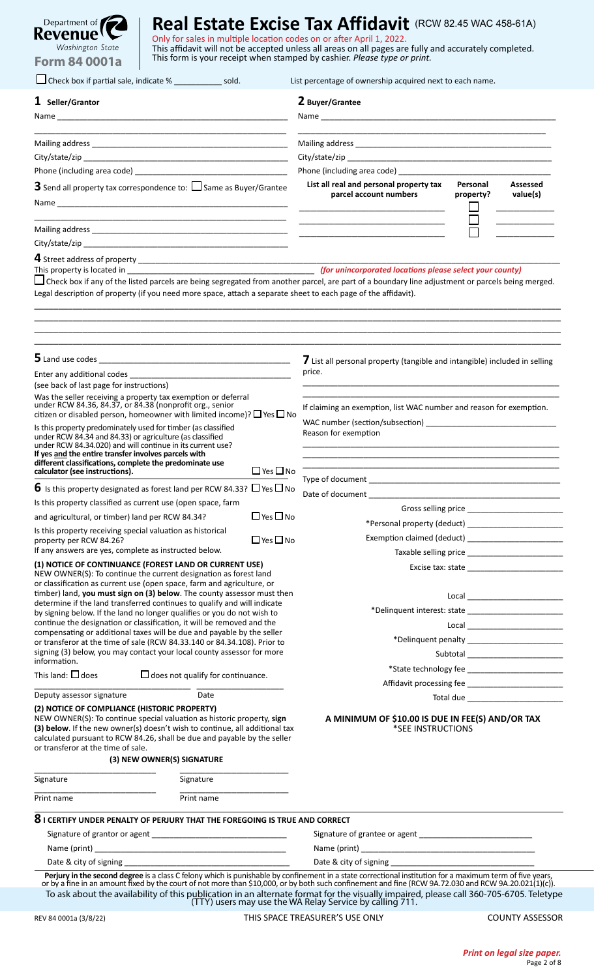| Department of <b>The Address</b> |
|----------------------------------|
| Revenue ! L                      |
| Washington State                 |
| <b>Form 84 0001a</b>             |

| Check box if partial sale, indicate % ________________ sold.                                                                                                                                                                                                                                                                                                                                                                                                                                                                                                                                                                                                                                                                                                     |                      | List percentage of ownership acquired next to each name.                                                             |                       |  |  |
|------------------------------------------------------------------------------------------------------------------------------------------------------------------------------------------------------------------------------------------------------------------------------------------------------------------------------------------------------------------------------------------------------------------------------------------------------------------------------------------------------------------------------------------------------------------------------------------------------------------------------------------------------------------------------------------------------------------------------------------------------------------|----------------------|----------------------------------------------------------------------------------------------------------------------|-----------------------|--|--|
| $1$ Seller/Grantor                                                                                                                                                                                                                                                                                                                                                                                                                                                                                                                                                                                                                                                                                                                                               |                      | 2 Buyer/Grantee                                                                                                      |                       |  |  |
|                                                                                                                                                                                                                                                                                                                                                                                                                                                                                                                                                                                                                                                                                                                                                                  |                      |                                                                                                                      |                       |  |  |
|                                                                                                                                                                                                                                                                                                                                                                                                                                                                                                                                                                                                                                                                                                                                                                  |                      |                                                                                                                      |                       |  |  |
|                                                                                                                                                                                                                                                                                                                                                                                                                                                                                                                                                                                                                                                                                                                                                                  |                      |                                                                                                                      |                       |  |  |
| <b>3</b> Send all property tax correspondence to: $\Box$ Same as Buyer/Grantee                                                                                                                                                                                                                                                                                                                                                                                                                                                                                                                                                                                                                                                                                   |                      | List all real and personal property tax                                                                              | Personal<br>Assessed  |  |  |
|                                                                                                                                                                                                                                                                                                                                                                                                                                                                                                                                                                                                                                                                                                                                                                  |                      | parcel account numbers                                                                                               | value(s)<br>property? |  |  |
|                                                                                                                                                                                                                                                                                                                                                                                                                                                                                                                                                                                                                                                                                                                                                                  |                      | <u> 1989 - Johann John Stone, markin film yn y brening yn y brening y brening yn y brening yn y brening yn y bre</u> |                       |  |  |
|                                                                                                                                                                                                                                                                                                                                                                                                                                                                                                                                                                                                                                                                                                                                                                  |                      |                                                                                                                      |                       |  |  |
|                                                                                                                                                                                                                                                                                                                                                                                                                                                                                                                                                                                                                                                                                                                                                                  |                      |                                                                                                                      |                       |  |  |
| This property is located in <b>Exercise 2.1 Contract and Contract Contract Contract Occident</b> Contract Occident Contract Contract Occident Contract Occident Contract Occident Contract Occident Contract Occident Contract Occi<br>$\Box$ Check box if any of the listed parcels are being segregated from another parcel, are part of a boundary line adjustment or parcels being merged.<br>Legal description of property (if you need more space, attach a separate sheet to each page of the affidavit).                                                                                                                                                                                                                                                 |                      |                                                                                                                      |                       |  |  |
|                                                                                                                                                                                                                                                                                                                                                                                                                                                                                                                                                                                                                                                                                                                                                                  |                      | 7 List all personal property (tangible and intangible) included in selling<br>price.                                 |                       |  |  |
| (see back of last page for instructions)                                                                                                                                                                                                                                                                                                                                                                                                                                                                                                                                                                                                                                                                                                                         |                      |                                                                                                                      |                       |  |  |
| Was the seller receiving a property tax exemption or deferral<br>under RCW 84.36, 84.37, or 84.38 (nonprofit org., senior<br>citizen or disabled person, homeowner with limited income)? $\Box$ Yes $\Box$ No                                                                                                                                                                                                                                                                                                                                                                                                                                                                                                                                                    |                      | If claiming an exemption, list WAC number and reason for exemption.                                                  |                       |  |  |
| Is this property predominately used for timber (as classified<br>under RCW 84.34 and 84.33) or agriculture (as classified<br>under RCW 84.34.020) and will continue in its current use?<br>If yes and the entire transfer involves parcels with<br>different classifications, complete the predominate use                                                                                                                                                                                                                                                                                                                                                                                                                                                       |                      | Reason for exemption                                                                                                 |                       |  |  |
| calculator (see instructions).                                                                                                                                                                                                                                                                                                                                                                                                                                                                                                                                                                                                                                                                                                                                   | $\Box$ Yes $\Box$ No |                                                                                                                      |                       |  |  |
| $\bf{6}$ Is this property designated as forest land per RCW 84.33? $\Box$ Yes $\Box$ No                                                                                                                                                                                                                                                                                                                                                                                                                                                                                                                                                                                                                                                                          |                      |                                                                                                                      |                       |  |  |
| Is this property classified as current use (open space, farm                                                                                                                                                                                                                                                                                                                                                                                                                                                                                                                                                                                                                                                                                                     |                      |                                                                                                                      |                       |  |  |
| and agricultural, or timber) land per RCW 84.34?                                                                                                                                                                                                                                                                                                                                                                                                                                                                                                                                                                                                                                                                                                                 | $\Box$ Yes $\Box$ No |                                                                                                                      |                       |  |  |
| Is this property receiving special valuation as historical<br>property per RCW 84.26?                                                                                                                                                                                                                                                                                                                                                                                                                                                                                                                                                                                                                                                                            | $\Box$ Yes $\Box$ No |                                                                                                                      |                       |  |  |
| If any answers are yes, complete as instructed below.                                                                                                                                                                                                                                                                                                                                                                                                                                                                                                                                                                                                                                                                                                            |                      |                                                                                                                      |                       |  |  |
| (1) NOTICE OF CONTINUANCE (FOREST LAND OR CURRENT USE)<br>NEW OWNER(S): To continue the current designation as forest land<br>or classification as current use (open space, farm and agriculture, or<br>timber) land, you must sign on (3) below. The county assessor must then<br>determine if the land transferred continues to qualify and will indicate<br>by signing below. If the land no longer qualifies or you do not wish to<br>continue the designation or classification, it will be removed and the<br>compensating or additional taxes will be due and payable by the seller<br>or transferor at the time of sale (RCW 84.33.140 or 84.34.108). Prior to<br>signing (3) below, you may contact your local county assessor for more<br>information. |                      |                                                                                                                      |                       |  |  |
| This land: $\Box$ does<br>$\Box$ does not qualify for continuance.                                                                                                                                                                                                                                                                                                                                                                                                                                                                                                                                                                                                                                                                                               |                      |                                                                                                                      |                       |  |  |
| Deputy assessor signature<br>Date                                                                                                                                                                                                                                                                                                                                                                                                                                                                                                                                                                                                                                                                                                                                |                      |                                                                                                                      |                       |  |  |
| (2) NOTICE OF COMPLIANCE (HISTORIC PROPERTY)<br>NEW OWNER(S): To continue special valuation as historic property, sign<br>(3) below. If the new owner(s) doesn't wish to continue, all additional tax<br>calculated pursuant to RCW 84.26, shall be due and payable by the seller<br>or transferor at the time of sale.<br>(3) NEW OWNER(S) SIGNATURE                                                                                                                                                                                                                                                                                                                                                                                                            |                      | A MINIMUM OF \$10.00 IS DUE IN FEE(S) AND/OR TAX<br>*SEE INSTRUCTIONS                                                |                       |  |  |
| Signature<br>Signature                                                                                                                                                                                                                                                                                                                                                                                                                                                                                                                                                                                                                                                                                                                                           |                      |                                                                                                                      |                       |  |  |
| Print name<br>Print name                                                                                                                                                                                                                                                                                                                                                                                                                                                                                                                                                                                                                                                                                                                                         |                      |                                                                                                                      |                       |  |  |
| $8$ I CERTIFY UNDER PENALTY OF PERJURY THAT THE FOREGOING IS TRUE AND CORRECT                                                                                                                                                                                                                                                                                                                                                                                                                                                                                                                                                                                                                                                                                    |                      |                                                                                                                      |                       |  |  |
|                                                                                                                                                                                                                                                                                                                                                                                                                                                                                                                                                                                                                                                                                                                                                                  |                      |                                                                                                                      |                       |  |  |
|                                                                                                                                                                                                                                                                                                                                                                                                                                                                                                                                                                                                                                                                                                                                                                  |                      |                                                                                                                      |                       |  |  |
|                                                                                                                                                                                                                                                                                                                                                                                                                                                                                                                                                                                                                                                                                                                                                                  |                      |                                                                                                                      |                       |  |  |
|                                                                                                                                                                                                                                                                                                                                                                                                                                                                                                                                                                                                                                                                                                                                                                  |                      |                                                                                                                      |                       |  |  |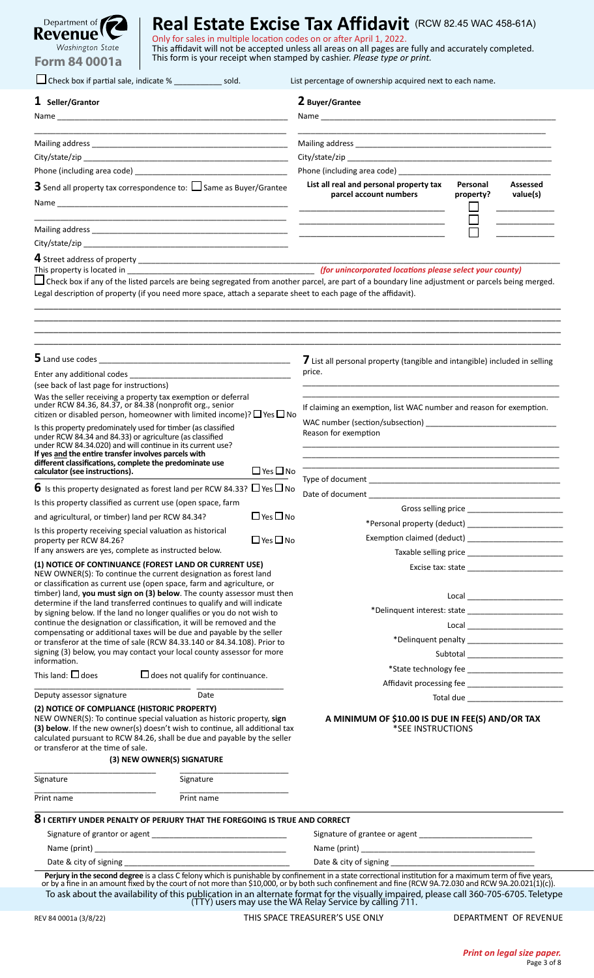| Department of <b>The Address</b> |
|----------------------------------|
| Revenue ! L                      |
| Washington State                 |
| <b>Form 84 0001a</b>             |

| Check box if partial sale, indicate % _______________ sold.                                                                                                                                                                                                                                                                                                                                                                                                                                                                                                                                                                                                                                                                                                                                               |                      | List percentage of ownership acquired next to each name.                                                                                                                                                                       |                                               |  |
|-----------------------------------------------------------------------------------------------------------------------------------------------------------------------------------------------------------------------------------------------------------------------------------------------------------------------------------------------------------------------------------------------------------------------------------------------------------------------------------------------------------------------------------------------------------------------------------------------------------------------------------------------------------------------------------------------------------------------------------------------------------------------------------------------------------|----------------------|--------------------------------------------------------------------------------------------------------------------------------------------------------------------------------------------------------------------------------|-----------------------------------------------|--|
| $1$ Seller/Grantor                                                                                                                                                                                                                                                                                                                                                                                                                                                                                                                                                                                                                                                                                                                                                                                        |                      | 2 Buyer/Grantee                                                                                                                                                                                                                |                                               |  |
|                                                                                                                                                                                                                                                                                                                                                                                                                                                                                                                                                                                                                                                                                                                                                                                                           |                      |                                                                                                                                                                                                                                |                                               |  |
|                                                                                                                                                                                                                                                                                                                                                                                                                                                                                                                                                                                                                                                                                                                                                                                                           |                      |                                                                                                                                                                                                                                |                                               |  |
|                                                                                                                                                                                                                                                                                                                                                                                                                                                                                                                                                                                                                                                                                                                                                                                                           |                      |                                                                                                                                                                                                                                |                                               |  |
|                                                                                                                                                                                                                                                                                                                                                                                                                                                                                                                                                                                                                                                                                                                                                                                                           |                      | Phone (including area code) and the state of the state of the state of the state of the state of the state of the state of the state of the state of the state of the state of the state of the state of the state of the stat |                                               |  |
| <b>3</b> Send all property tax correspondence to: $\Box$ Same as Buyer/Grantee                                                                                                                                                                                                                                                                                                                                                                                                                                                                                                                                                                                                                                                                                                                            |                      | List all real and personal property tax<br>parcel account numbers                                                                                                                                                              | Personal<br>Assessed<br>value(s)<br>property? |  |
|                                                                                                                                                                                                                                                                                                                                                                                                                                                                                                                                                                                                                                                                                                                                                                                                           |                      |                                                                                                                                                                                                                                |                                               |  |
|                                                                                                                                                                                                                                                                                                                                                                                                                                                                                                                                                                                                                                                                                                                                                                                                           |                      |                                                                                                                                                                                                                                |                                               |  |
| This property is located in <b>Exercise 2008</b> (for unincorporated locations please select your county)<br>$\Box$ Check box if any of the listed parcels are being segregated from another parcel, are part of a boundary line adjustment or parcels being merged.<br>Legal description of property (if you need more space, attach a separate sheet to each page of the affidavit).                                                                                                                                                                                                                                                                                                                                                                                                                    |                      |                                                                                                                                                                                                                                |                                               |  |
|                                                                                                                                                                                                                                                                                                                                                                                                                                                                                                                                                                                                                                                                                                                                                                                                           |                      | 7 List all personal property (tangible and intangible) included in selling<br>price.                                                                                                                                           |                                               |  |
| (see back of last page for instructions)                                                                                                                                                                                                                                                                                                                                                                                                                                                                                                                                                                                                                                                                                                                                                                  |                      |                                                                                                                                                                                                                                |                                               |  |
| Was the seller receiving a property tax exemption or deferral<br>under RCW 84.36, 84.37, or 84.38 (nonprofit org., senior<br>citizen or disabled person, homeowner with limited income)? $\Box$ Yes $\Box$ No                                                                                                                                                                                                                                                                                                                                                                                                                                                                                                                                                                                             |                      | If claiming an exemption, list WAC number and reason for exemption.                                                                                                                                                            |                                               |  |
| Is this property predominately used for timber (as classified<br>under RCW 84.34 and 84.33) or agriculture (as classified<br>under RCW 84.34.020) and will continue in its current use?<br>If yes and the entire transfer involves parcels with<br>different classifications, complete the predominate use                                                                                                                                                                                                                                                                                                                                                                                                                                                                                                |                      | Reason for exemption                                                                                                                                                                                                           |                                               |  |
| calculator (see instructions).                                                                                                                                                                                                                                                                                                                                                                                                                                                                                                                                                                                                                                                                                                                                                                            | $\Box$ Yes $\Box$ No |                                                                                                                                                                                                                                |                                               |  |
| $\bf{6}$ Is this property designated as forest land per RCW 84.33? $\Box$ Yes $\Box$ No                                                                                                                                                                                                                                                                                                                                                                                                                                                                                                                                                                                                                                                                                                                   |                      |                                                                                                                                                                                                                                |                                               |  |
| Is this property classified as current use (open space, farm                                                                                                                                                                                                                                                                                                                                                                                                                                                                                                                                                                                                                                                                                                                                              |                      |                                                                                                                                                                                                                                |                                               |  |
| $\Box$ Yes $\Box$ No<br>and agricultural, or timber) land per RCW 84.34?                                                                                                                                                                                                                                                                                                                                                                                                                                                                                                                                                                                                                                                                                                                                  |                      |                                                                                                                                                                                                                                |                                               |  |
| Is this property receiving special valuation as historical                                                                                                                                                                                                                                                                                                                                                                                                                                                                                                                                                                                                                                                                                                                                                |                      |                                                                                                                                                                                                                                |                                               |  |
| $\Box$ Yes $\Box$ No<br>property per RCW 84.26?                                                                                                                                                                                                                                                                                                                                                                                                                                                                                                                                                                                                                                                                                                                                                           |                      |                                                                                                                                                                                                                                |                                               |  |
| If any answers are yes, complete as instructed below.<br>(1) NOTICE OF CONTINUANCE (FOREST LAND OR CURRENT USE)<br>NEW OWNER(S): To continue the current designation as forest land<br>or classification as current use (open space, farm and agriculture, or<br>timber) land, you must sign on (3) below. The county assessor must then<br>determine if the land transferred continues to qualify and will indicate<br>by signing below. If the land no longer qualifies or you do not wish to<br>continue the designation or classification, it will be removed and the<br>compensating or additional taxes will be due and payable by the seller<br>or transferor at the time of sale (RCW 84.33.140 or 84.34.108). Prior to<br>signing (3) below, you may contact your local county assessor for more |                      |                                                                                                                                                                                                                                |                                               |  |
| information.                                                                                                                                                                                                                                                                                                                                                                                                                                                                                                                                                                                                                                                                                                                                                                                              |                      |                                                                                                                                                                                                                                |                                               |  |
| This land: $\Box$ does<br>$\Box$ does not qualify for continuance.                                                                                                                                                                                                                                                                                                                                                                                                                                                                                                                                                                                                                                                                                                                                        |                      |                                                                                                                                                                                                                                |                                               |  |
|                                                                                                                                                                                                                                                                                                                                                                                                                                                                                                                                                                                                                                                                                                                                                                                                           |                      |                                                                                                                                                                                                                                |                                               |  |
| Deputy assessor signature<br>Date<br>(2) NOTICE OF COMPLIANCE (HISTORIC PROPERTY)<br>NEW OWNER(S): To continue special valuation as historic property, sign<br>(3) below. If the new owner(s) doesn't wish to continue, all additional tax<br>calculated pursuant to RCW 84.26, shall be due and payable by the seller<br>or transferor at the time of sale.<br>(3) NEW OWNER(S) SIGNATURE                                                                                                                                                                                                                                                                                                                                                                                                                |                      | A MINIMUM OF \$10.00 IS DUE IN FEE(S) AND/OR TAX<br>*SEE INSTRUCTIONS                                                                                                                                                          |                                               |  |
|                                                                                                                                                                                                                                                                                                                                                                                                                                                                                                                                                                                                                                                                                                                                                                                                           |                      |                                                                                                                                                                                                                                |                                               |  |
| Signature<br>Signature                                                                                                                                                                                                                                                                                                                                                                                                                                                                                                                                                                                                                                                                                                                                                                                    |                      |                                                                                                                                                                                                                                |                                               |  |
| Print name<br>Print name                                                                                                                                                                                                                                                                                                                                                                                                                                                                                                                                                                                                                                                                                                                                                                                  |                      |                                                                                                                                                                                                                                |                                               |  |
|                                                                                                                                                                                                                                                                                                                                                                                                                                                                                                                                                                                                                                                                                                                                                                                                           |                      |                                                                                                                                                                                                                                |                                               |  |
| <u> 1980 - Johann Barn, mars ann an t-Amhain Aonaich an t-Aonaich an t-Aonaich ann an t-Aonaich ann an t-Aonaich</u>                                                                                                                                                                                                                                                                                                                                                                                                                                                                                                                                                                                                                                                                                      |                      |                                                                                                                                                                                                                                |                                               |  |
|                                                                                                                                                                                                                                                                                                                                                                                                                                                                                                                                                                                                                                                                                                                                                                                                           |                      |                                                                                                                                                                                                                                |                                               |  |
| $8$ I CERTIFY UNDER PENALTY OF PERJURY THAT THE FOREGOING IS TRUE AND CORRECT                                                                                                                                                                                                                                                                                                                                                                                                                                                                                                                                                                                                                                                                                                                             |                      |                                                                                                                                                                                                                                |                                               |  |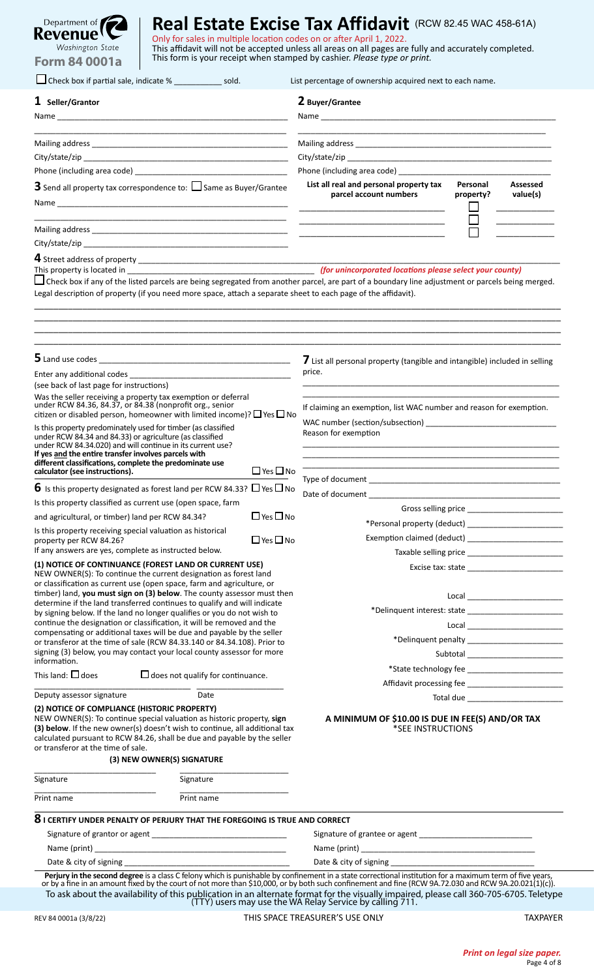| Department of <b>The Address</b> |
|----------------------------------|
| Revenue ! L                      |
| Washington State                 |
| <b>Form 84 0001a</b>             |

| Check box if partial sale, indicate % ____________<br>sold.                                                                                                                                                                                                                                                                                                                                                                                                                                                                                                                                |                      | List percentage of ownership acquired next to each name.                                                              |                                                                                                                     |  |
|--------------------------------------------------------------------------------------------------------------------------------------------------------------------------------------------------------------------------------------------------------------------------------------------------------------------------------------------------------------------------------------------------------------------------------------------------------------------------------------------------------------------------------------------------------------------------------------------|----------------------|-----------------------------------------------------------------------------------------------------------------------|---------------------------------------------------------------------------------------------------------------------|--|
| $1$ Seller/Grantor                                                                                                                                                                                                                                                                                                                                                                                                                                                                                                                                                                         |                      | 2 Buyer/Grantee                                                                                                       |                                                                                                                     |  |
|                                                                                                                                                                                                                                                                                                                                                                                                                                                                                                                                                                                            |                      |                                                                                                                       |                                                                                                                     |  |
|                                                                                                                                                                                                                                                                                                                                                                                                                                                                                                                                                                                            |                      |                                                                                                                       |                                                                                                                     |  |
|                                                                                                                                                                                                                                                                                                                                                                                                                                                                                                                                                                                            |                      |                                                                                                                       |                                                                                                                     |  |
|                                                                                                                                                                                                                                                                                                                                                                                                                                                                                                                                                                                            |                      |                                                                                                                       |                                                                                                                     |  |
|                                                                                                                                                                                                                                                                                                                                                                                                                                                                                                                                                                                            |                      | List all real and personal property tax                                                                               | Personal<br>Assessed                                                                                                |  |
| <b>3</b> Send all property tax correspondence to: $\Box$ Same as Buyer/Grantee                                                                                                                                                                                                                                                                                                                                                                                                                                                                                                             |                      | parcel account numbers                                                                                                | property?<br>value(s)                                                                                               |  |
|                                                                                                                                                                                                                                                                                                                                                                                                                                                                                                                                                                                            |                      | <u> 1989 - Johann Barn, mars ann an t-Amhain an t-Amhain an t-Amhain an t-Amhain an t-Amhain an t-Amhain an t-Amh</u> |                                                                                                                     |  |
|                                                                                                                                                                                                                                                                                                                                                                                                                                                                                                                                                                                            |                      |                                                                                                                       |                                                                                                                     |  |
| This property is located in <b>Exercise 2.1 Contract and Contract Contract Contract Occident</b> Contract Occident Contract Contract Occident Contract Occident Contract Occident Contract Occident Contract Occident Contract Occi                                                                                                                                                                                                                                                                                                                                                        |                      |                                                                                                                       |                                                                                                                     |  |
| $\Box$ Check box if any of the listed parcels are being segregated from another parcel, are part of a boundary line adjustment or parcels being merged.<br>Legal description of property (if you need more space, attach a separate sheet to each page of the affidavit).                                                                                                                                                                                                                                                                                                                  |                      |                                                                                                                       |                                                                                                                     |  |
|                                                                                                                                                                                                                                                                                                                                                                                                                                                                                                                                                                                            |                      | 7 List all personal property (tangible and intangible) included in selling                                            |                                                                                                                     |  |
|                                                                                                                                                                                                                                                                                                                                                                                                                                                                                                                                                                                            |                      | price.                                                                                                                |                                                                                                                     |  |
| (see back of last page for instructions)<br>Was the seller receiving a property tax exemption or deferral                                                                                                                                                                                                                                                                                                                                                                                                                                                                                  |                      |                                                                                                                       |                                                                                                                     |  |
| under RCW 84.36, 84.37, or 84.38 (nonprofit org., senior<br>citizen or disabled person, homeowner with limited income)? $\Box$ Yes $\Box$ No                                                                                                                                                                                                                                                                                                                                                                                                                                               |                      | If claiming an exemption, list WAC number and reason for exemption.                                                   |                                                                                                                     |  |
| Is this property predominately used for timber (as classified<br>under RCW 84.34 and 84.33) or agriculture (as classified<br>under RCW 84.34.020) and will continue in its current use?<br>If yes and the entire transfer involves parcels with<br>different classifications, complete the predominate use                                                                                                                                                                                                                                                                                 |                      | Reason for exemption                                                                                                  |                                                                                                                     |  |
| calculator (see instructions).                                                                                                                                                                                                                                                                                                                                                                                                                                                                                                                                                             | $\Box$ Yes $\Box$ No |                                                                                                                       |                                                                                                                     |  |
| $\bf{6}$ Is this property designated as forest land per RCW 84.33? $\Box$ Yes $\Box$ No                                                                                                                                                                                                                                                                                                                                                                                                                                                                                                    |                      |                                                                                                                       |                                                                                                                     |  |
| Is this property classified as current use (open space, farm                                                                                                                                                                                                                                                                                                                                                                                                                                                                                                                               |                      |                                                                                                                       | Gross selling price Service Service Service Service Service Service Service Service Service Service Service Service |  |
| and agricultural, or timber) land per RCW 84.34?                                                                                                                                                                                                                                                                                                                                                                                                                                                                                                                                           | $\Box$ Yes $\Box$ No |                                                                                                                       |                                                                                                                     |  |
| Is this property receiving special valuation as historical<br>property per RCW 84.26?                                                                                                                                                                                                                                                                                                                                                                                                                                                                                                      | $\Box$ Yes $\Box$ No |                                                                                                                       |                                                                                                                     |  |
| If any answers are yes, complete as instructed below.                                                                                                                                                                                                                                                                                                                                                                                                                                                                                                                                      |                      |                                                                                                                       |                                                                                                                     |  |
| (1) NOTICE OF CONTINUANCE (FOREST LAND OR CURRENT USE)<br>NEW OWNER(S): To continue the current designation as forest land<br>or classification as current use (open space, farm and agriculture, or<br>timber) land, you must sign on (3) below. The county assessor must then<br>determine if the land transferred continues to qualify and will indicate<br>by signing below. If the land no longer qualifies or you do not wish to<br>continue the designation or classification, it will be removed and the<br>compensating or additional taxes will be due and payable by the seller |                      |                                                                                                                       |                                                                                                                     |  |
| or transferor at the time of sale (RCW 84.33.140 or 84.34.108). Prior to                                                                                                                                                                                                                                                                                                                                                                                                                                                                                                                   |                      |                                                                                                                       |                                                                                                                     |  |
| signing (3) below, you may contact your local county assessor for more<br>information.                                                                                                                                                                                                                                                                                                                                                                                                                                                                                                     |                      |                                                                                                                       |                                                                                                                     |  |
| This land: $\Box$ does<br>$\Box$ does not qualify for continuance.                                                                                                                                                                                                                                                                                                                                                                                                                                                                                                                         |                      |                                                                                                                       |                                                                                                                     |  |
|                                                                                                                                                                                                                                                                                                                                                                                                                                                                                                                                                                                            |                      |                                                                                                                       |                                                                                                                     |  |
| Deputy assessor signature<br>Date                                                                                                                                                                                                                                                                                                                                                                                                                                                                                                                                                          |                      |                                                                                                                       | Total due                                                                                                           |  |
| (2) NOTICE OF COMPLIANCE (HISTORIC PROPERTY)<br>NEW OWNER(S): To continue special valuation as historic property, sign<br>(3) below. If the new owner(s) doesn't wish to continue, all additional tax<br>calculated pursuant to RCW 84.26, shall be due and payable by the seller<br>or transferor at the time of sale.<br>(3) NEW OWNER(S) SIGNATURE                                                                                                                                                                                                                                      |                      | A MINIMUM OF \$10.00 IS DUE IN FEE(S) AND/OR TAX<br>*SEE INSTRUCTIONS                                                 |                                                                                                                     |  |
| Signature<br>Signature                                                                                                                                                                                                                                                                                                                                                                                                                                                                                                                                                                     |                      |                                                                                                                       |                                                                                                                     |  |
| Print name<br>Print name                                                                                                                                                                                                                                                                                                                                                                                                                                                                                                                                                                   |                      |                                                                                                                       |                                                                                                                     |  |
|                                                                                                                                                                                                                                                                                                                                                                                                                                                                                                                                                                                            |                      |                                                                                                                       |                                                                                                                     |  |
| $8$ I CERTIFY UNDER PENALTY OF PERJURY THAT THE FOREGOING IS TRUE AND CORRECT                                                                                                                                                                                                                                                                                                                                                                                                                                                                                                              |                      |                                                                                                                       |                                                                                                                     |  |
|                                                                                                                                                                                                                                                                                                                                                                                                                                                                                                                                                                                            |                      |                                                                                                                       |                                                                                                                     |  |
|                                                                                                                                                                                                                                                                                                                                                                                                                                                                                                                                                                                            |                      |                                                                                                                       |                                                                                                                     |  |
|                                                                                                                                                                                                                                                                                                                                                                                                                                                                                                                                                                                            |                      |                                                                                                                       |                                                                                                                     |  |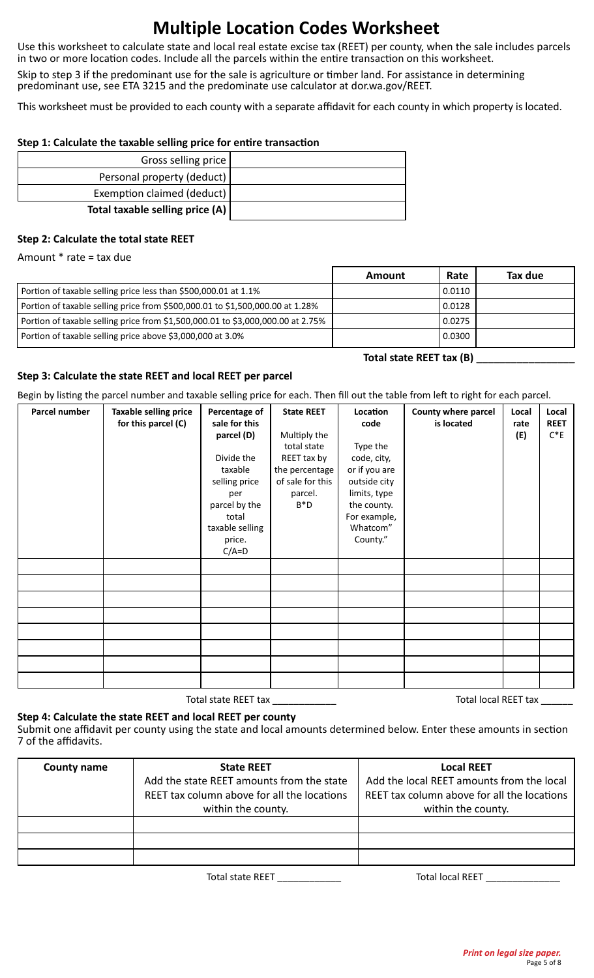# **Multiple Location Codes Worksheet**

Use this worksheet to calculate state and local real estate excise tax (REET) per county, when the sale includes parcels in two or more location codes. Include all the parcels within the entire transaction on this worksheet.

Skip to step 3 if the predominant use for the sale is agriculture or timber land. For assistance in determining predominant use, see ETA 3215 and the predominate use calculator at dor.wa.gov/REET.

This worksheet must be provided to each county with a separate affidavit for each county in which property is located.

#### **Step 1: Calculate the taxable selling price for entire transaction**

| Gross selling price               |
|-----------------------------------|
| Personal property (deduct)        |
| Exemption claimed (deduct)        |
| Total taxable selling price $(A)$ |

#### **Step 2: Calculate the total state REET**

Amount \* rate = tax due

|                                                                                 | Amount | Rate   | Tax due |
|---------------------------------------------------------------------------------|--------|--------|---------|
| Portion of taxable selling price less than \$500,000.01 at 1.1%                 |        | 0.0110 |         |
| Portion of taxable selling price from \$500,000.01 to \$1,500,000.00 at 1.28%   |        | 0.0128 |         |
| Portion of taxable selling price from \$1,500,000.01 to \$3,000,000.00 at 2.75% |        | 0.0275 |         |
| Portion of taxable selling price above \$3,000,000 at 3.0%                      |        | 0.0300 |         |

#### **Total state REET tax (B) \_\_\_\_\_\_\_\_\_\_\_\_\_\_\_\_\_**

#### **Step 3: Calculate the state REET and local REET per parcel**

Begin by listing the parcel number and taxable selling price for each. Then fill out the table from left to right for each parcel.

| Parcel number | <b>Taxable selling price</b><br>for this parcel (C) | Percentage of<br>sale for this<br>parcel (D)<br>Divide the<br>taxable<br>selling price<br>per<br>parcel by the<br>total<br>taxable selling<br>price.<br>$C/A=D$ | <b>State REET</b><br>Multiply the<br>total state<br>REET tax by<br>the percentage<br>of sale for this<br>parcel.<br>$B^*D$ | Location<br>code<br>Type the<br>code, city,<br>or if you are<br>outside city<br>limits, type<br>the county.<br>For example,<br>Whatcom"<br>County." | County where parcel<br>is located | Local<br>rate<br>(E) | Local<br><b>REET</b><br>$C^*E$ |
|---------------|-----------------------------------------------------|-----------------------------------------------------------------------------------------------------------------------------------------------------------------|----------------------------------------------------------------------------------------------------------------------------|-----------------------------------------------------------------------------------------------------------------------------------------------------|-----------------------------------|----------------------|--------------------------------|
|               |                                                     |                                                                                                                                                                 |                                                                                                                            |                                                                                                                                                     |                                   |                      |                                |
|               |                                                     |                                                                                                                                                                 |                                                                                                                            |                                                                                                                                                     |                                   |                      |                                |
|               |                                                     |                                                                                                                                                                 |                                                                                                                            |                                                                                                                                                     |                                   |                      |                                |
|               |                                                     |                                                                                                                                                                 |                                                                                                                            |                                                                                                                                                     |                                   |                      |                                |
|               |                                                     |                                                                                                                                                                 |                                                                                                                            |                                                                                                                                                     |                                   |                      |                                |
|               |                                                     |                                                                                                                                                                 |                                                                                                                            |                                                                                                                                                     |                                   |                      |                                |
|               |                                                     |                                                                                                                                                                 |                                                                                                                            |                                                                                                                                                     |                                   |                      |                                |
|               |                                                     |                                                                                                                                                                 |                                                                                                                            |                                                                                                                                                     |                                   |                      |                                |

Total state REET tax \_\_\_\_\_\_\_\_\_\_\_\_ Total local REET tax \_\_\_\_\_\_

#### **Step 4: Calculate the state REET and local REET per county**

Submit one affidavit per county using the state and local amounts determined below. Enter these amounts in section 7 of the affidavits.

| <b>County name</b> | <b>State REET</b><br>Add the state REET amounts from the state<br>REET tax column above for all the locations<br>within the county. | <b>Local REET</b><br>Add the local REET amounts from the local<br>REET tax column above for all the locations<br>within the county. |
|--------------------|-------------------------------------------------------------------------------------------------------------------------------------|-------------------------------------------------------------------------------------------------------------------------------------|
|                    |                                                                                                                                     |                                                                                                                                     |
|                    |                                                                                                                                     |                                                                                                                                     |
|                    |                                                                                                                                     |                                                                                                                                     |

Total state REET \_\_\_\_\_\_\_\_\_\_\_\_ Total local REET \_\_\_\_\_\_\_\_\_\_\_\_\_\_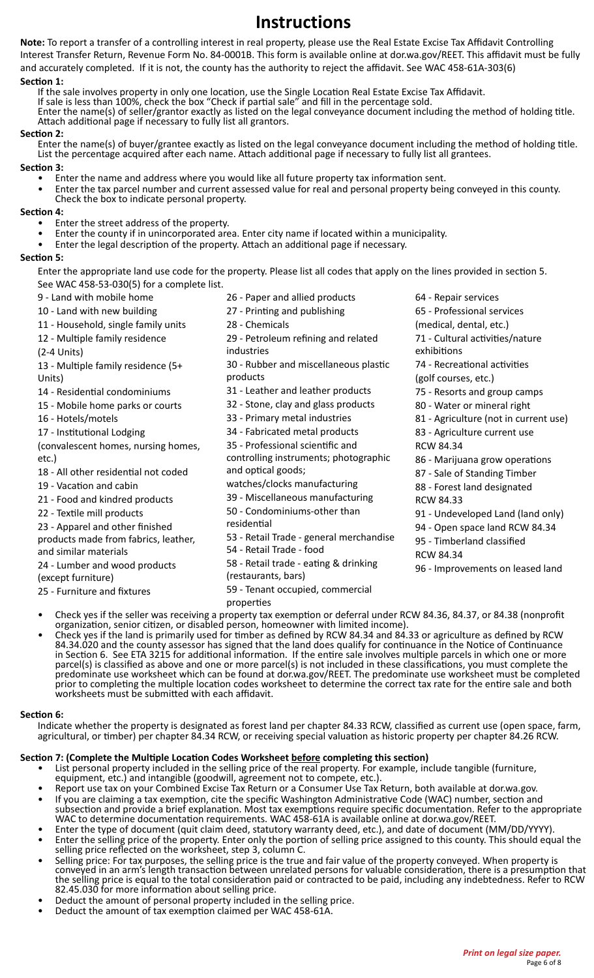### **Instructions**

**Note:** To report a transfer of a controlling interest in real property, please use the Real Estate Excise Tax Affidavit Controlling Interest Transfer Return, Revenue Form No. 84-0001B. This form is available online at dor.wa.gov/REET. This affidavit must be fully and accurately completed. If it is not, the county has the authority to reject the affidavit. See WAC 458-61A-303(6)

#### **Section 1:**

If the sale involves property in only one location, use the Single Location Real Estate Excise Tax Affidavit.

If sale is less than 100%, check the box "Check if partial sale" and fill in the percentage sold.

Enter the name(s) of seller/grantor exactly as listed on the legal conveyance document including the method of holding title. Attach additional page if necessary to fully list all grantors.

#### **Section 2:**

Enter the name(s) of buyer/grantee exactly as listed on the legal conveyance document including the method of holding title. List the percentage acquired after each name. Attach additional page if necessary to fully list all grantees.

**Section 3:**

- Enter the name and address where you would like all future property tax information sent.
- Enter the tax parcel number and current assessed value for real and personal property being conveyed in this county. Check the box to indicate personal property.

#### **Section 4:**

- Enter the street address of the property.
- Enter the county if in unincorporated area. Enter city name if located within a municipality.
- Enter the legal description of the property. Attach an additional page if necessary.

#### **Section 5:**

Enter the appropriate land use code for the property. Please list all codes that apply on the lines provided in section 5. See WAC 458-53-030(5) for a complete list.

- 9 Land with mobile home
- 10 Land with new building
- 11 Household, single family units
- 12 Multiple family residence

(2-4 Units)

13 - Multiple family residence (5+ Units)

14 - Residential condominiums

- 15 Mobile home parks or courts
- 16 Hotels/motels

17 - Institutional Lodging

(convalescent homes, nursing homes, etc.)

- 18 All other residential not coded
- 19 Vacation and cabin
- 21 Food and kindred products

22 - Textile mill products

23 - Apparel and other finished

products made from fabrics, leather, and similar materials

24 - Lumber and wood products (except furniture)

25 - Furniture and fixtures

- 26 Paper and allied products
- 27 Printing and publishing
- 28 Chemicals
- 29 Petroleum refining and related industries
- 30 Rubber and miscellaneous plastic products
- 31 Leather and leather products
- 32 Stone, clay and glass products
- 33 Primary metal industries
- 34 Fabricated metal products
- 35 Professional scientific and

controlling instruments; photographic and optical goods;

- watches/clocks manufacturing
- 39 Miscellaneous manufacturing
- 50 Condominiums-other than
- residential
- 53 Retail Trade general merchandise
- 54 Retail Trade food
- 58 Retail trade eating & drinking
- (restaurants, bars)

59 - Tenant occupied, commercial

- properties
- Check yes if the seller was receiving a property tax exemption or deferral under RCW 84.36, 84.37, or 84.38 (nonprofit
- organization, senior citizen, or disabled person, homeowner with limited income). Check yes if the land is primarily used for timber as defined by RCW 84.34 and 84.33 or agriculture as defined by RCW Check yes if the land is primarily used for timber as defined by RCW 84.34 and 84.33 or agriculture as defined by RCW<br>84.34.020 and the county assessor has signed that the land does qualify for continuance in the Notice of in Section 6. See ETA 3215 for additional information. If the entire sale involves multiple parcels in which one or more parcel(s) is classified as above and one or more parcel(s) is not included in these classifications, you must complete the predominate use worksheet which can be found at dor.wa.gov/REET. The predominate use worksheet must be completed prior to completing the multiple location codes worksheet to determine the correct tax rate for the entire sale and both worksheets must be submitted with each affidavit.

#### **Section 6:**

Indicate whether the property is designated as forest land per chapter 84.33 RCW, classified as current use (open space, farm, agricultural, or timber) per chapter 84.34 RCW, or receiving special valuation as historic property per chapter 84.26 RCW.

#### **Section 7: (Complete the Multiple Location Codes Worksheet before completing this section)**

- List personal property included in the selling price of the real property. For example, include tangible (furniture, equipment, etc.) and intangible (goodwill, agreement not to compete, etc.).
- Report use tax on your Combined Excise Tax Return or a Consumer Use Tax Return, both available at dor.wa.gov. If you are claiming a tax exemption, cite the specific Washington Administrative Code (WAC) number, section and
	- subsection and provide a brief explanation. Most tax exemptions require specific documentation. Refer to the appropriate WAC to determine documentation requirements. WAC 458-61A is available online at dor.wa.gov/REET.
	- Enter the type of document (quit claim deed, statutory warranty deed, etc.), and date of document (MM/DD/YYYY).<br>Enter the selling price of the property. Enter only the portion of selling price assigned to this county. This
- selling price reflected on the worksheet, step 3, column C.
- Selling price: For tax purposes, the selling price is the true and fair value of the property conveyed. When property is conveyed in an arm's length transaction between unrelated persons for valuable consideration, there is a presumption that the selling price is equal to the total consideration paid or contracted to be paid, including any indebtedness. Refer to RCW 82.45.030 for more information about selling price.
- Deduct the amount of personal property included in the selling price.
- Deduct the amount of tax exemption claimed per WAC 458-61A.
- 88 Forest land designated RCW 84.33 91 - Undeveloped Land (land only) 94 - Open space land RCW 84.34 95 - Timberland classified RCW 84.34
	- 96 Improvements on leased land
- 64 Repair services 65 - Professional services (medical, dental, etc.)
	- 71 Cultural activities/nature
	- exhibitions
	- 74 Recreational activities
	-
	- (golf courses, etc.)
	- 75 Resorts and group camps

83 - Agriculture current use

RCW 84.34

80 - Water or mineral right

### 81 - Agriculture (not in current use)

86 - Marijuana grow operations 87 - Sale of Standing Timber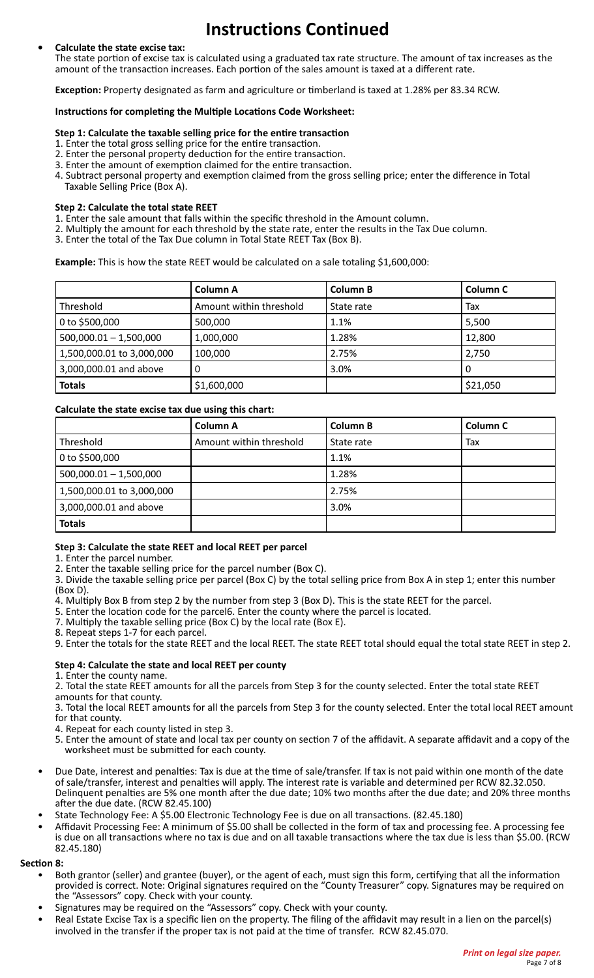# **Instructions Continued**

#### **• Calculate the state excise tax:**

The state portion of excise tax is calculated using a graduated tax rate structure. The amount of tax increases as the amount of the transaction increases. Each portion of the sales amount is taxed at a different rate.

**Exception:** Property designated as farm and agriculture or timberland is taxed at 1.28% per 83.34 RCW.

#### **Instructions for completing the Multiple Locations Code Worksheet:**

#### **Step 1: Calculate the taxable selling price for the entire transaction**

- 1. Enter the total gross selling price for the entire transaction.
- 2. Enter the personal property deduction for the entire transaction.
- 3. Enter the amount of exemption claimed for the entire transaction.
- 4. Subtract personal property and exemption claimed from the gross selling price; enter the difference in Total Taxable Selling Price (Box A).

#### **Step 2: Calculate the total state REET**

- 1. Enter the sale amount that falls within the specific threshold in the Amount column.
- 2. Multiply the amount for each threshold by the state rate, enter the results in the Tax Due column.
- 3. Enter the total of the Tax Due column in Total State REET Tax (Box B).

**Example:** This is how the state REET would be calculated on a sale totaling \$1,600,000:

|                           | Column A                | <b>Column B</b> | Column C |
|---------------------------|-------------------------|-----------------|----------|
| Threshold                 | Amount within threshold | State rate      | Tax      |
| 0 to \$500,000            | 500,000                 | 1.1%            | 5,500    |
| $500,000.01 - 1,500,000$  | 1,000,000               | 1.28%           | 12,800   |
| 1,500,000.01 to 3,000,000 | 100,000                 | 2.75%           | 2,750    |
| 3,000,000.01 and above    |                         | 3.0%            | 0        |
| <b>Totals</b>             | \$1,600,000             |                 | \$21,050 |

#### **Calculate the state excise tax due using this chart:**

|                           | <b>Column A</b>         | <b>Column B</b> | Column C |
|---------------------------|-------------------------|-----------------|----------|
| Threshold                 | Amount within threshold | State rate      | Tax      |
| 0 to \$500,000            |                         | 1.1%            |          |
| $500,000.01 - 1,500,000$  |                         | 1.28%           |          |
| 1,500,000.01 to 3,000,000 |                         | 2.75%           |          |
| 3,000,000.01 and above    |                         | 3.0%            |          |
| <b>Totals</b>             |                         |                 |          |

#### **Step 3: Calculate the state REET and local REET per parcel**

1. Enter the parcel number.

2. Enter the taxable selling price for the parcel number (Box C).

- 3. Divide the taxable selling price per parcel (Box C) by the total selling price from Box A in step 1; enter this number (Box D).
- 4. Multiply Box B from step 2 by the number from step 3 (Box D). This is the state REET for the parcel.
- 5. Enter the location code for the parcel6. Enter the county where the parcel is located.
- 7. Multiply the taxable selling price (Box C) by the local rate (Box E).
- 8. Repeat steps 1-7 for each parcel.
- 9. Enter the totals for the state REET and the local REET. The state REET total should equal the total state REET in step 2.

#### **Step 4: Calculate the state and local REET per county**

1. Enter the county name.

2. Total the state REET amounts for all the parcels from Step 3 for the county selected. Enter the total state REET amounts for that county.

3. Total the local REET amounts for all the parcels from Step 3 for the county selected. Enter the total local REET amount for that county.

4. Repeat for each county listed in step 3.

- 5. Enter the amount of state and local tax per county on section 7 of the affidavit. A separate affidavit and a copy of the worksheet must be submitted for each county.
- Due Date, interest and penalties: Tax is due at the time of sale/transfer. If tax is not paid within one month of the date of sale/transfer, interest and penalties will apply. The interest rate is variable and determined per RCW 82.32.050. Delinquent penalties are 5% one month after the due date; 10% two months after the due date; and 20% three months after the due date. (RCW 82.45.100)
- State Technology Fee: A \$5.00 Electronic Technology Fee is due on all transactions. (82.45.180)
- Affidavit Processing Fee: A minimum of \$5.00 shall be collected in the form of tax and processing fee. A processing fee is due on all transactions where no tax is due and on all taxable transactions where the tax due is less than \$5.00. (RCW 82.45.180)

#### **Section 8:**

- Both grantor (seller) and grantee (buyer), or the agent of each, must sign this form, certifying that all the information provided is correct. Note: Original signatures required on the "County Treasurer" copy. Signatures may be required on the "Assessors" copy. Check with your county.
- Signatures may be required on the "Assessors" copy. Check with your county.
- Real Estate Excise Tax is a specific lien on the property. The filing of the affidavit may result in a lien on the parcel(s) involved in the transfer if the proper tax is not paid at the time of transfer. RCW 82.45.070.